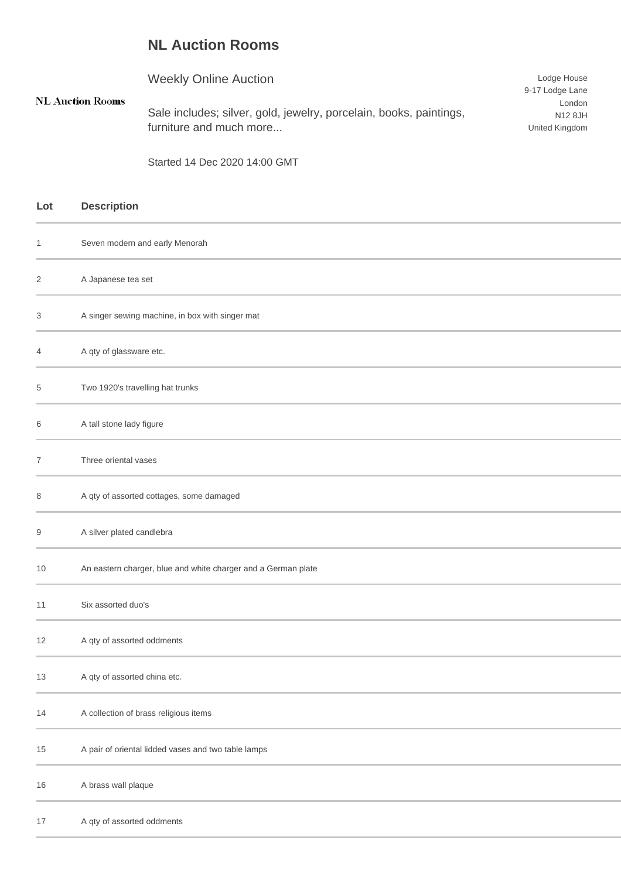## **NL Auction Rooms**

 $\mathbf{NL}$ 

|               | <b>Weekly Online Auction</b>                                       | Lodge House     |  |
|---------------|--------------------------------------------------------------------|-----------------|--|
|               |                                                                    | 9-17 Lodge Lane |  |
| Auction Rooms |                                                                    | London          |  |
|               | Sale includes; silver, gold, jewelry, porcelain, books, paintings, | N12 8JH         |  |
|               | furniture and much more                                            | United Kingdom  |  |
|               |                                                                    |                 |  |

Started 14 Dec 2020 14:00 GMT

| Lot | <b>Description</b>                                            |
|-----|---------------------------------------------------------------|
| 1   | Seven modern and early Menorah                                |
| 2   | A Japanese tea set                                            |
| 3   | A singer sewing machine, in box with singer mat               |
| 4   | A qty of glassware etc.                                       |
| 5   | Two 1920's travelling hat trunks                              |
| 6   | A tall stone lady figure                                      |
| 7   | Three oriental vases                                          |
| 8   | A qty of assorted cottages, some damaged                      |
| 9   | A silver plated candlebra                                     |
| 10  | An eastern charger, blue and white charger and a German plate |
| 11  | Six assorted duo's                                            |
| 12  | A qty of assorted oddments                                    |
| 13  | A qty of assorted china etc.                                  |
| 14  | A collection of brass religious items                         |
| 15  | A pair of oriental lidded vases and two table lamps           |
| 16  | A brass wall plaque                                           |
| 17  | A qty of assorted oddments                                    |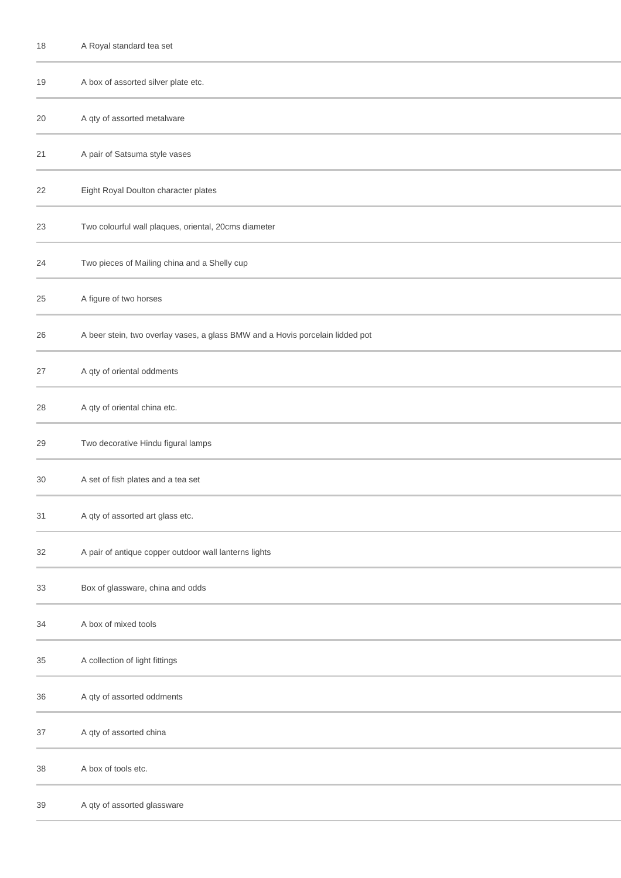| 18 | A Royal standard tea set                                                      |
|----|-------------------------------------------------------------------------------|
| 19 | A box of assorted silver plate etc.                                           |
| 20 | A qty of assorted metalware                                                   |
| 21 | A pair of Satsuma style vases                                                 |
| 22 | Eight Royal Doulton character plates                                          |
| 23 | Two colourful wall plaques, oriental, 20cms diameter                          |
| 24 | Two pieces of Mailing china and a Shelly cup                                  |
| 25 | A figure of two horses                                                        |
| 26 | A beer stein, two overlay vases, a glass BMW and a Hovis porcelain lidded pot |
| 27 | A qty of oriental oddments                                                    |
| 28 | A qty of oriental china etc.                                                  |
| 29 | Two decorative Hindu figural lamps                                            |
| 30 | A set of fish plates and a tea set                                            |
| 31 | A qty of assorted art glass etc.                                              |
| 32 | A pair of antique copper outdoor wall lanterns lights                         |
| 33 | Box of glassware, china and odds                                              |
| 34 | A box of mixed tools                                                          |
| 35 | A collection of light fittings                                                |
| 36 | A qty of assorted oddments                                                    |
| 37 | A qty of assorted china                                                       |
| 38 | A box of tools etc.                                                           |
| 39 | A qty of assorted glassware                                                   |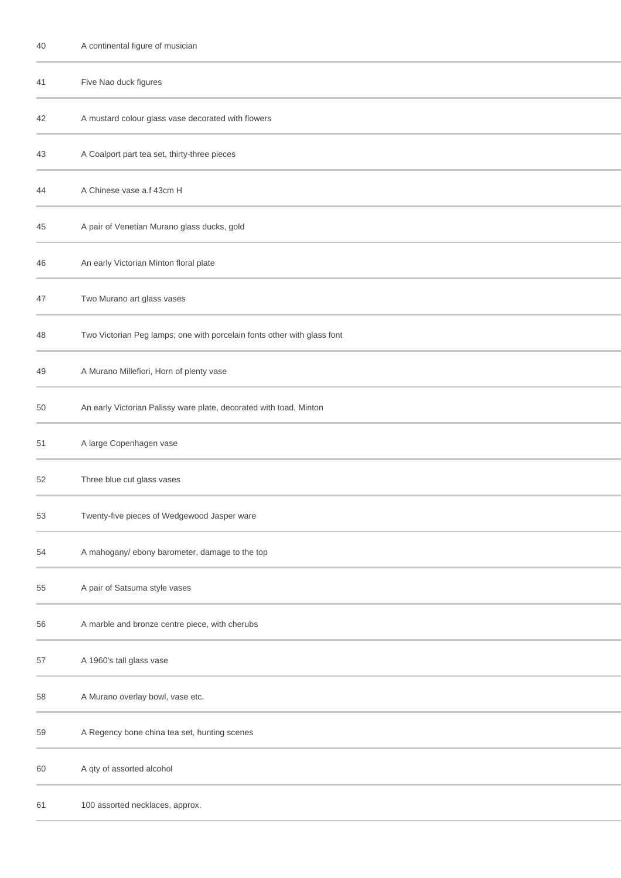| 40 | A continental figure of musician                                        |
|----|-------------------------------------------------------------------------|
| 41 | Five Nao duck figures                                                   |
| 42 | A mustard colour glass vase decorated with flowers                      |
| 43 | A Coalport part tea set, thirty-three pieces                            |
| 44 | A Chinese vase a.f 43cm H                                               |
| 45 | A pair of Venetian Murano glass ducks, gold                             |
| 46 | An early Victorian Minton floral plate                                  |
| 47 | Two Murano art glass vases                                              |
| 48 | Two Victorian Peg lamps; one with porcelain fonts other with glass font |
| 49 | A Murano Millefiori, Horn of plenty vase                                |
| 50 | An early Victorian Palissy ware plate, decorated with toad, Minton      |
| 51 | A large Copenhagen vase                                                 |
| 52 | Three blue cut glass vases                                              |
| 53 | Twenty-five pieces of Wedgewood Jasper ware                             |
| 54 | A mahogany/ ebony barometer, damage to the top                          |
| 55 | A pair of Satsuma style vases                                           |
| 56 | A marble and bronze centre piece, with cherubs                          |
| 57 | A 1960's tall glass vase                                                |
| 58 | A Murano overlay bowl, vase etc.                                        |
| 59 | A Regency bone china tea set, hunting scenes                            |
| 60 | A qty of assorted alcohol                                               |
| 61 | 100 assorted necklaces, approx.                                         |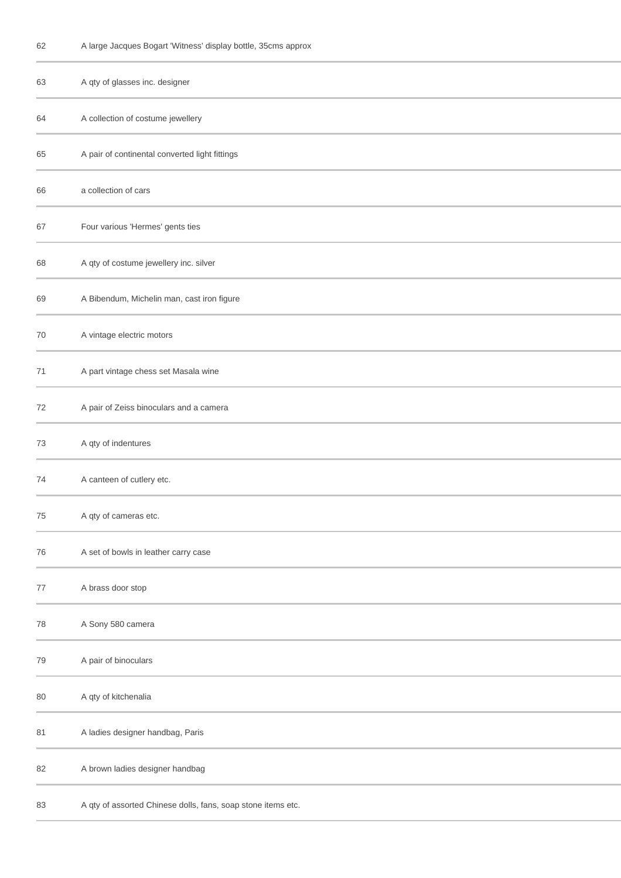| 62 |  |  |  | A large Jacques Bogart 'Witness' display bottle, 35cms approx |
|----|--|--|--|---------------------------------------------------------------|
|----|--|--|--|---------------------------------------------------------------|

| 63 | A qty of glasses inc. designer                               |
|----|--------------------------------------------------------------|
| 64 | A collection of costume jewellery                            |
| 65 | A pair of continental converted light fittings               |
| 66 | a collection of cars                                         |
| 67 | Four various 'Hermes' gents ties                             |
| 68 | A qty of costume jewellery inc. silver                       |
| 69 | A Bibendum, Michelin man, cast iron figure                   |
| 70 | A vintage electric motors                                    |
| 71 | A part vintage chess set Masala wine                         |
| 72 | A pair of Zeiss binoculars and a camera                      |
| 73 | A qty of indentures                                          |
| 74 | A canteen of cutlery etc.                                    |
| 75 | A qty of cameras etc.                                        |
| 76 | A set of bowls in leather carry case                         |
| 77 | A brass door stop                                            |
| 78 | A Sony 580 camera                                            |
| 79 | A pair of binoculars                                         |
| 80 | A qty of kitchenalia                                         |
| 81 | A ladies designer handbag, Paris                             |
| 82 | A brown ladies designer handbag                              |
| 83 | A qty of assorted Chinese dolls, fans, soap stone items etc. |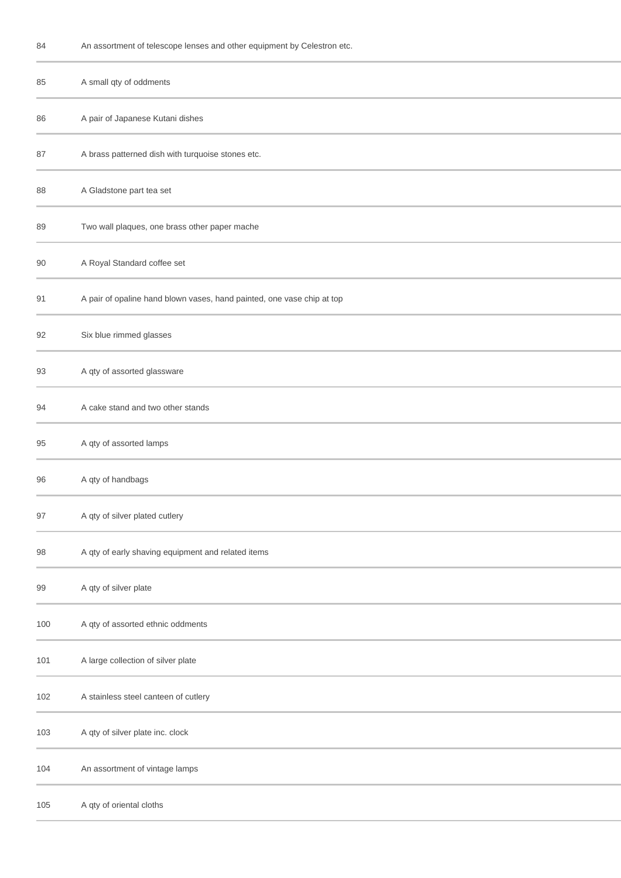| An assortment of telescope lenses and other equipment by Celestron etc.<br>84 |  |
|-------------------------------------------------------------------------------|--|
|-------------------------------------------------------------------------------|--|

| 85  | A small qty of oddments                                                |
|-----|------------------------------------------------------------------------|
| 86  | A pair of Japanese Kutani dishes                                       |
| 87  | A brass patterned dish with turquoise stones etc.                      |
| 88  | A Gladstone part tea set                                               |
| 89  | Two wall plaques, one brass other paper mache                          |
| 90  | A Royal Standard coffee set                                            |
| 91  | A pair of opaline hand blown vases, hand painted, one vase chip at top |
| 92  | Six blue rimmed glasses                                                |
| 93  | A qty of assorted glassware                                            |
| 94  | A cake stand and two other stands                                      |
| 95  | A qty of assorted lamps                                                |
| 96  | A qty of handbags                                                      |
| 97  | A qty of silver plated cutlery                                         |
| 98  | A qty of early shaving equipment and related items                     |
| 99  | A qty of silver plate                                                  |
| 100 | A qty of assorted ethnic oddments                                      |
| 101 | A large collection of silver plate                                     |
| 102 | A stainless steel canteen of cutlery                                   |
| 103 | A qty of silver plate inc. clock                                       |
| 104 | An assortment of vintage lamps                                         |
| 105 | A qty of oriental cloths                                               |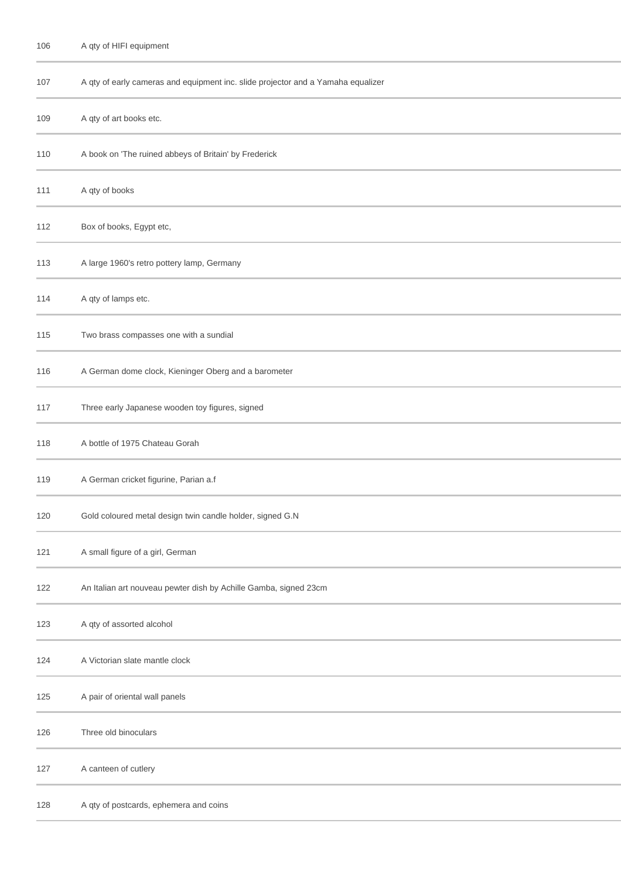| 107 | A qty of early cameras and equipment inc. slide projector and a Yamaha equalizer |
|-----|----------------------------------------------------------------------------------|
| 109 | A qty of art books etc.                                                          |
| 110 | A book on 'The ruined abbeys of Britain' by Frederick                            |
| 111 | A qty of books                                                                   |
| 112 | Box of books, Egypt etc,                                                         |
| 113 | A large 1960's retro pottery lamp, Germany                                       |
| 114 | A qty of lamps etc.                                                              |
| 115 | Two brass compasses one with a sundial                                           |
| 116 | A German dome clock, Kieninger Oberg and a barometer                             |
| 117 | Three early Japanese wooden toy figures, signed                                  |
| 118 | A bottle of 1975 Chateau Gorah                                                   |
| 119 | A German cricket figurine, Parian a.f                                            |
| 120 | Gold coloured metal design twin candle holder, signed G.N                        |
| 121 | A small figure of a girl, German                                                 |
| 122 | An Italian art nouveau pewter dish by Achille Gamba, signed 23cm                 |
| 123 | A qty of assorted alcohol                                                        |
| 124 | A Victorian slate mantle clock                                                   |
| 125 | A pair of oriental wall panels                                                   |
| 126 | Three old binoculars                                                             |
| 127 | A canteen of cutlery                                                             |
| 128 | A qty of postcards, ephemera and coins                                           |
|     |                                                                                  |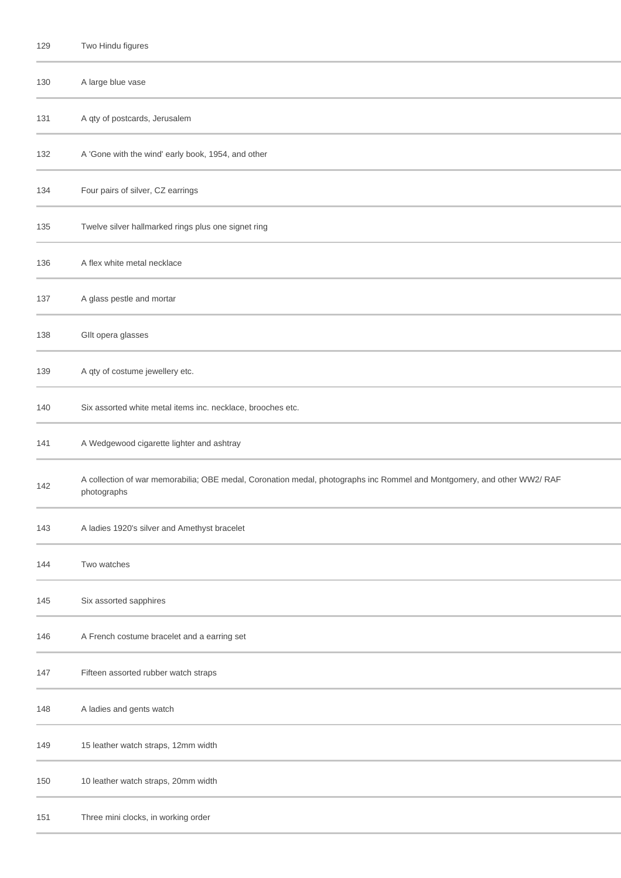| 129 | Two Hindu figures                                                                                                                      |
|-----|----------------------------------------------------------------------------------------------------------------------------------------|
| 130 | A large blue vase                                                                                                                      |
| 131 | A qty of postcards, Jerusalem                                                                                                          |
| 132 | A 'Gone with the wind' early book, 1954, and other                                                                                     |
| 134 | Four pairs of silver, CZ earrings                                                                                                      |
| 135 | Twelve silver hallmarked rings plus one signet ring                                                                                    |
| 136 | A flex white metal necklace                                                                                                            |
| 137 | A glass pestle and mortar                                                                                                              |
| 138 | Gllt opera glasses                                                                                                                     |
| 139 | A qty of costume jewellery etc.                                                                                                        |
| 140 | Six assorted white metal items inc. necklace, brooches etc.                                                                            |
| 141 | A Wedgewood cigarette lighter and ashtray                                                                                              |
| 142 | A collection of war memorabilia; OBE medal, Coronation medal, photographs inc Rommel and Montgomery, and other WW2/ RAF<br>photographs |
| 143 | A ladies 1920's silver and Amethyst bracelet                                                                                           |
| 144 | Two watches                                                                                                                            |
| 145 | Six assorted sapphires                                                                                                                 |
| 146 | A French costume bracelet and a earring set                                                                                            |
| 147 | Fifteen assorted rubber watch straps                                                                                                   |
| 148 | A ladies and gents watch                                                                                                               |
| 149 | 15 leather watch straps, 12mm width                                                                                                    |
| 150 | 10 leather watch straps, 20mm width                                                                                                    |
| 151 | Three mini clocks, in working order                                                                                                    |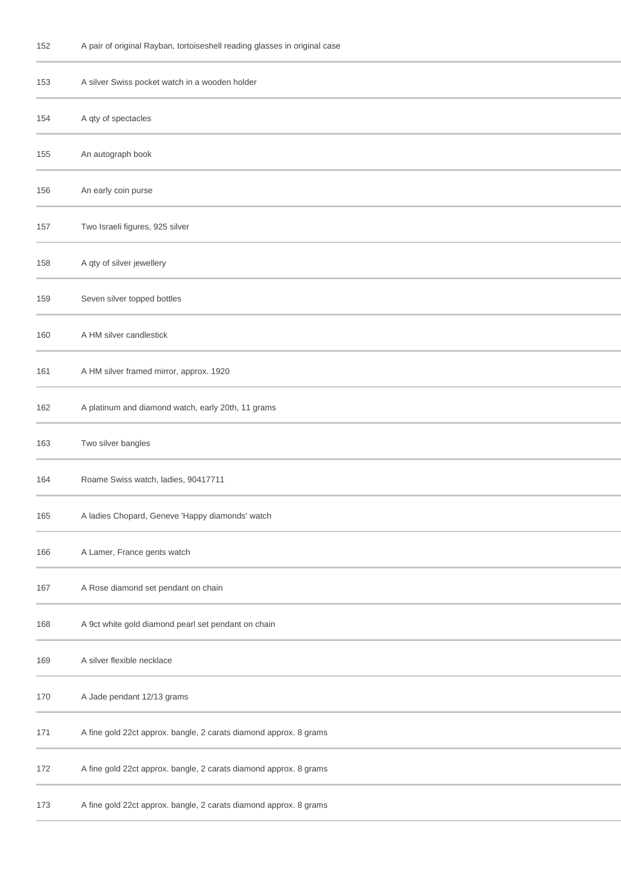| 152 | A pair of original Rayban, tortoiseshell reading glasses in original case |  |  |  |  |  |  |
|-----|---------------------------------------------------------------------------|--|--|--|--|--|--|
|-----|---------------------------------------------------------------------------|--|--|--|--|--|--|

| 153 | A silver Swiss pocket watch in a wooden holder                    |
|-----|-------------------------------------------------------------------|
| 154 | A qty of spectacles                                               |
| 155 | An autograph book                                                 |
| 156 | An early coin purse                                               |
| 157 | Two Israeli figures, 925 silver                                   |
| 158 | A qty of silver jewellery                                         |
| 159 | Seven silver topped bottles                                       |
| 160 | A HM silver candlestick                                           |
| 161 | A HM silver framed mirror, approx. 1920                           |
| 162 | A platinum and diamond watch, early 20th, 11 grams                |
| 163 | Two silver bangles                                                |
| 164 | Roame Swiss watch, ladies, 90417711                               |
| 165 | A ladies Chopard, Geneve 'Happy diamonds' watch                   |
| 166 | A Lamer, France gents watch                                       |
| 167 | A Rose diamond set pendant on chain                               |
| 168 | A 9ct white gold diamond pearl set pendant on chain               |
| 169 | A silver flexible necklace                                        |
| 170 | A Jade pendant 12/13 grams                                        |
| 171 | A fine gold 22ct approx. bangle, 2 carats diamond approx. 8 grams |
| 172 | A fine gold 22ct approx. bangle, 2 carats diamond approx. 8 grams |
| 173 | A fine gold 22ct approx. bangle, 2 carats diamond approx. 8 grams |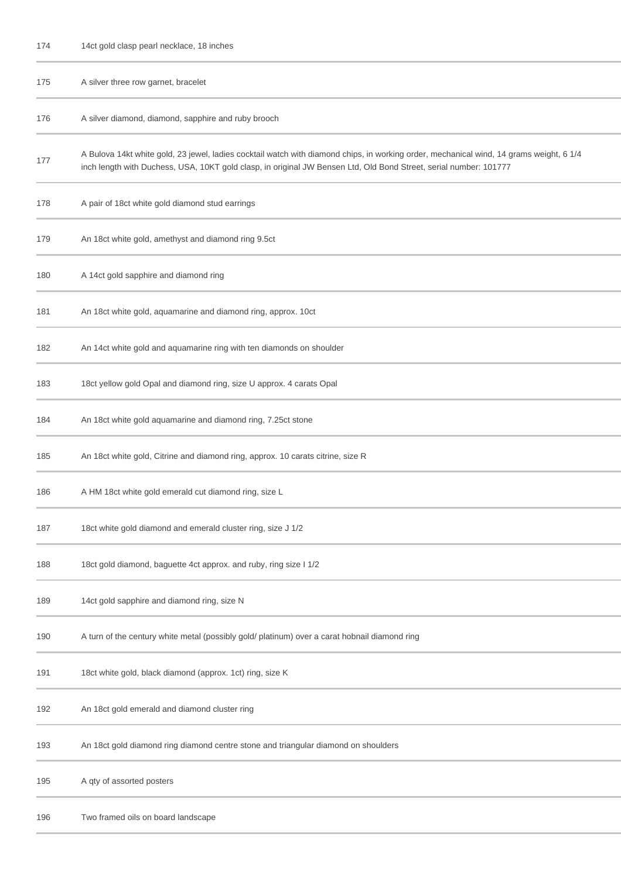| 174 |  |  | 14ct gold clasp pearl necklace, 18 inches |  |
|-----|--|--|-------------------------------------------|--|
|-----|--|--|-------------------------------------------|--|

| 175 | A silver three row garnet, bracelet                                                                                                                                                                                                                          |
|-----|--------------------------------------------------------------------------------------------------------------------------------------------------------------------------------------------------------------------------------------------------------------|
| 176 | A silver diamond, diamond, sapphire and ruby brooch                                                                                                                                                                                                          |
| 177 | A Bulova 14kt white gold, 23 jewel, ladies cocktail watch with diamond chips, in working order, mechanical wind, 14 grams weight, 6 1/4<br>inch length with Duchess, USA, 10KT gold clasp, in original JW Bensen Ltd, Old Bond Street, serial number: 101777 |
| 178 | A pair of 18ct white gold diamond stud earrings                                                                                                                                                                                                              |
| 179 | An 18ct white gold, amethyst and diamond ring 9.5ct                                                                                                                                                                                                          |
| 180 | A 14ct gold sapphire and diamond ring                                                                                                                                                                                                                        |
| 181 | An 18ct white gold, aquamarine and diamond ring, approx. 10ct                                                                                                                                                                                                |
| 182 | An 14ct white gold and aquamarine ring with ten diamonds on shoulder                                                                                                                                                                                         |
| 183 | 18ct yellow gold Opal and diamond ring, size U approx. 4 carats Opal                                                                                                                                                                                         |
| 184 | An 18ct white gold aquamarine and diamond ring, 7.25ct stone                                                                                                                                                                                                 |
| 185 | An 18ct white gold, Citrine and diamond ring, approx. 10 carats citrine, size R                                                                                                                                                                              |
| 186 | A HM 18ct white gold emerald cut diamond ring, size L                                                                                                                                                                                                        |
| 187 | 18ct white gold diamond and emerald cluster ring, size J 1/2                                                                                                                                                                                                 |
| 188 | 18ct gold diamond, baguette 4ct approx. and ruby, ring size I 1/2                                                                                                                                                                                            |
| 189 | 14ct gold sapphire and diamond ring, size N                                                                                                                                                                                                                  |
| 190 | A turn of the century white metal (possibly gold/ platinum) over a carat hobnail diamond ring                                                                                                                                                                |
| 191 | 18ct white gold, black diamond (approx. 1ct) ring, size K                                                                                                                                                                                                    |
| 192 | An 18ct gold emerald and diamond cluster ring                                                                                                                                                                                                                |
| 193 | An 18ct gold diamond ring diamond centre stone and triangular diamond on shoulders                                                                                                                                                                           |
| 195 | A qty of assorted posters                                                                                                                                                                                                                                    |
| 196 | Two framed oils on board landscape                                                                                                                                                                                                                           |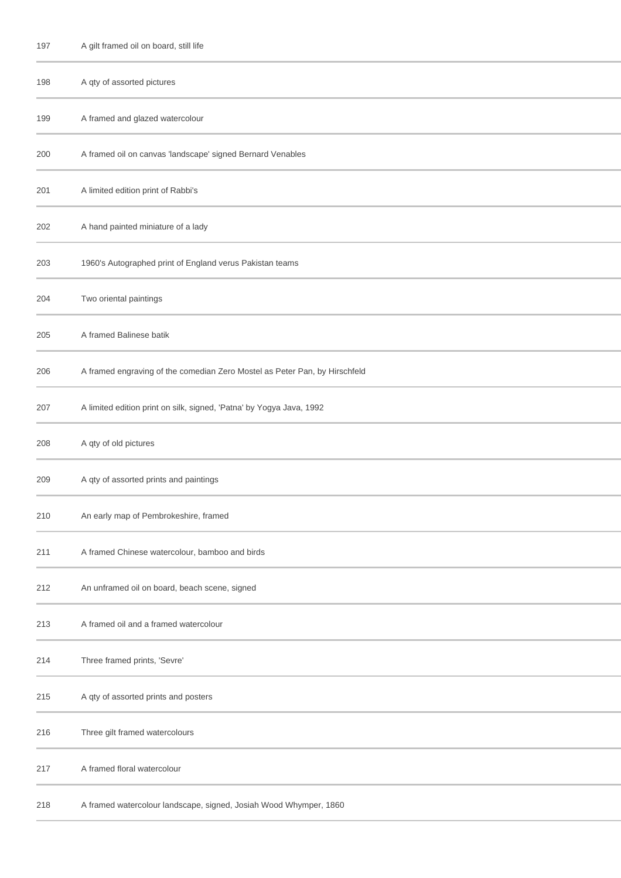| 197 | A gilt framed oil on board, still life                                     |
|-----|----------------------------------------------------------------------------|
| 198 | A qty of assorted pictures                                                 |
| 199 | A framed and glazed watercolour                                            |
| 200 | A framed oil on canvas 'landscape' signed Bernard Venables                 |
| 201 | A limited edition print of Rabbi's                                         |
| 202 | A hand painted miniature of a lady                                         |
| 203 | 1960's Autographed print of England verus Pakistan teams                   |
| 204 | Two oriental paintings                                                     |
| 205 | A framed Balinese batik                                                    |
| 206 | A framed engraving of the comedian Zero Mostel as Peter Pan, by Hirschfeld |
| 207 | A limited edition print on silk, signed, 'Patna' by Yogya Java, 1992       |
| 208 | A qty of old pictures                                                      |
| 209 | A qty of assorted prints and paintings                                     |
| 210 | An early map of Pembrokeshire, framed                                      |
| 211 | A framed Chinese watercolour, bamboo and birds                             |
| 212 | An unframed oil on board, beach scene, signed                              |
| 213 | A framed oil and a framed watercolour                                      |
| 214 | Three framed prints, 'Sevre'                                               |
| 215 | A qty of assorted prints and posters                                       |
| 216 | Three gilt framed watercolours                                             |
| 217 | A framed floral watercolour                                                |
| 218 | A framed watercolour landscape, signed, Josiah Wood Whymper, 1860          |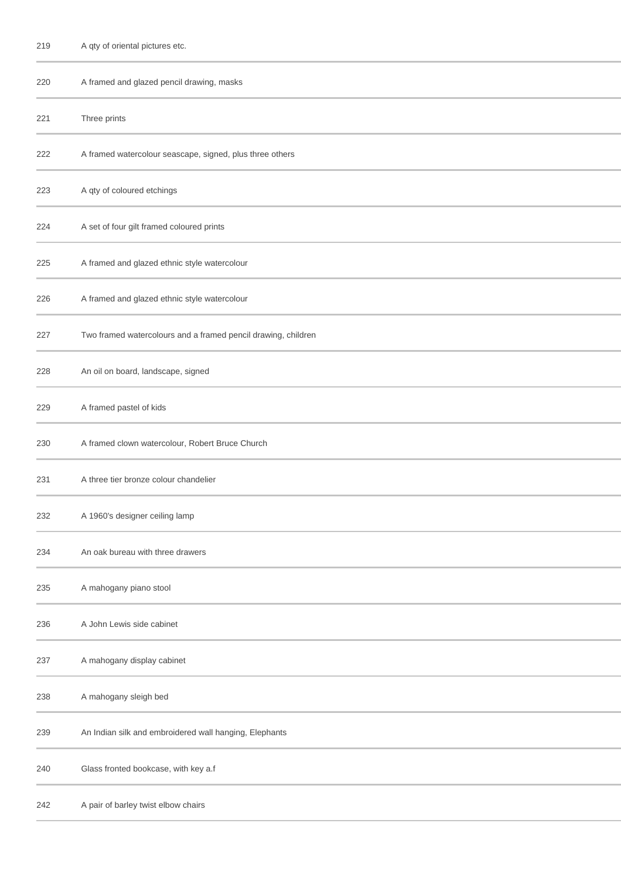| 219 | A qty of oriental pictures etc. |  |
|-----|---------------------------------|--|
|-----|---------------------------------|--|

| 220 | A framed and glazed pencil drawing, masks                     |
|-----|---------------------------------------------------------------|
| 221 | Three prints                                                  |
| 222 | A framed watercolour seascape, signed, plus three others      |
| 223 | A qty of coloured etchings                                    |
| 224 | A set of four gilt framed coloured prints                     |
| 225 | A framed and glazed ethnic style watercolour                  |
| 226 | A framed and glazed ethnic style watercolour                  |
| 227 | Two framed watercolours and a framed pencil drawing, children |
| 228 | An oil on board, landscape, signed                            |
| 229 | A framed pastel of kids                                       |
| 230 | A framed clown watercolour, Robert Bruce Church               |
| 231 | A three tier bronze colour chandelier                         |
| 232 | A 1960's designer ceiling lamp                                |
| 234 | An oak bureau with three drawers                              |
| 235 | A mahogany piano stool                                        |
| 236 | A John Lewis side cabinet                                     |
| 237 | A mahogany display cabinet                                    |
| 238 | A mahogany sleigh bed                                         |
| 239 | An Indian silk and embroidered wall hanging, Elephants        |
| 240 | Glass fronted bookcase, with key a.f                          |
| 242 | A pair of barley twist elbow chairs                           |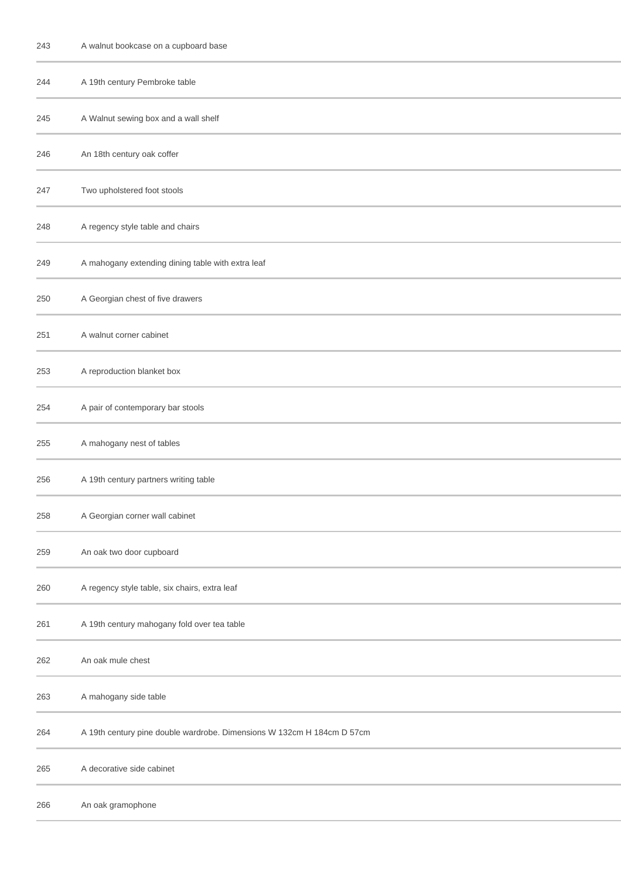| 243 | A walnut bookcase on a cupboard base                                   |
|-----|------------------------------------------------------------------------|
| 244 | A 19th century Pembroke table                                          |
| 245 | A Walnut sewing box and a wall shelf                                   |
| 246 | An 18th century oak coffer                                             |
| 247 | Two upholstered foot stools                                            |
| 248 | A regency style table and chairs                                       |
| 249 | A mahogany extending dining table with extra leaf                      |
| 250 | A Georgian chest of five drawers                                       |
| 251 | A walnut corner cabinet                                                |
| 253 | A reproduction blanket box                                             |
| 254 | A pair of contemporary bar stools                                      |
| 255 | A mahogany nest of tables                                              |
| 256 | A 19th century partners writing table                                  |
| 258 | A Georgian corner wall cabinet                                         |
| 259 | An oak two door cupboard                                               |
| 260 | A regency style table, six chairs, extra leaf                          |
| 261 | A 19th century mahogany fold over tea table                            |
| 262 | An oak mule chest                                                      |
| 263 | A mahogany side table                                                  |
| 264 | A 19th century pine double wardrobe. Dimensions W 132cm H 184cm D 57cm |
| 265 | A decorative side cabinet                                              |
| 266 | An oak gramophone                                                      |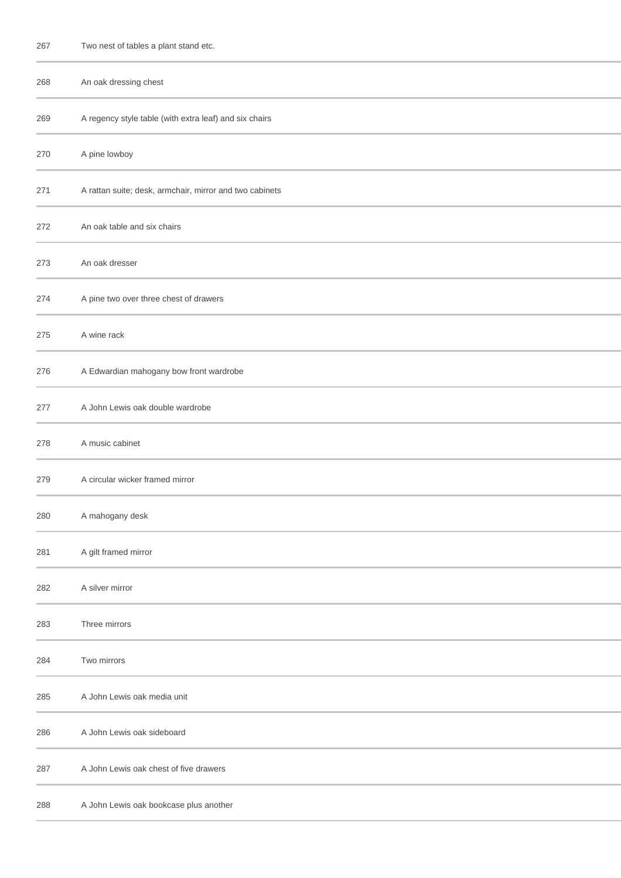| 267 | Two nest of tables a plant stand etc.                   |
|-----|---------------------------------------------------------|
| 268 | An oak dressing chest                                   |
| 269 | A regency style table (with extra leaf) and six chairs  |
| 270 | A pine lowboy                                           |
| 271 | A rattan suite; desk, armchair, mirror and two cabinets |
| 272 | An oak table and six chairs                             |
| 273 | An oak dresser                                          |
| 274 | A pine two over three chest of drawers                  |
| 275 | A wine rack                                             |
| 276 | A Edwardian mahogany bow front wardrobe                 |
| 277 | A John Lewis oak double wardrobe                        |
| 278 | A music cabinet                                         |
| 279 | A circular wicker framed mirror                         |
| 280 | A mahogany desk                                         |
| 281 | A gilt framed mirror                                    |
| 282 | A silver mirror                                         |
| 283 | Three mirrors                                           |
| 284 | Two mirrors                                             |
| 285 | A John Lewis oak media unit                             |
| 286 | A John Lewis oak sideboard                              |
| 287 | A John Lewis oak chest of five drawers                  |
| 288 | A John Lewis oak bookcase plus another                  |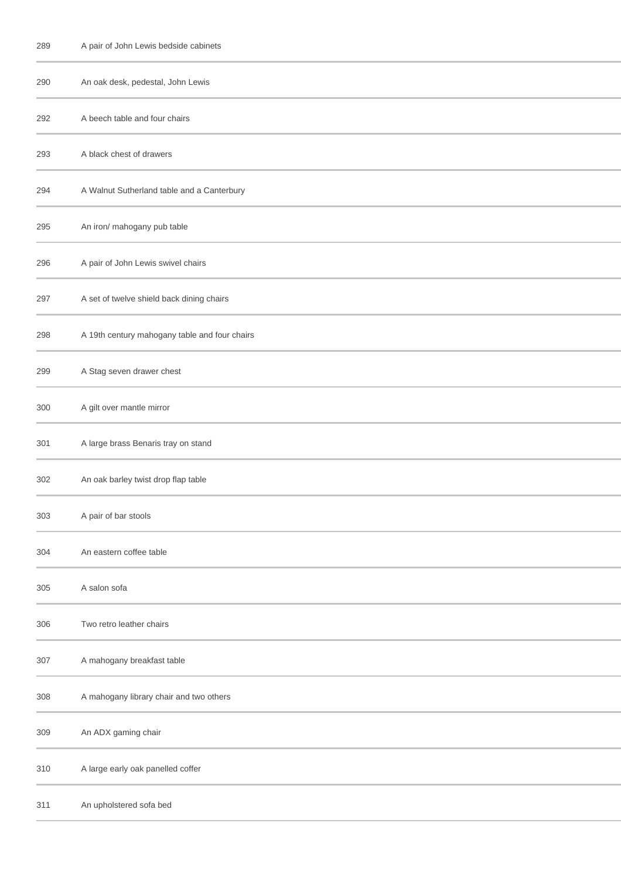| 289 | A pair of John Lewis bedside cabinets         |
|-----|-----------------------------------------------|
| 290 | An oak desk, pedestal, John Lewis             |
| 292 | A beech table and four chairs                 |
| 293 | A black chest of drawers                      |
| 294 | A Walnut Sutherland table and a Canterbury    |
| 295 | An iron/ mahogany pub table                   |
| 296 | A pair of John Lewis swivel chairs            |
| 297 | A set of twelve shield back dining chairs     |
| 298 | A 19th century mahogany table and four chairs |
| 299 | A Stag seven drawer chest                     |
| 300 | A gilt over mantle mirror                     |
| 301 | A large brass Benaris tray on stand           |
| 302 | An oak barley twist drop flap table           |
| 303 | A pair of bar stools                          |
| 304 | An eastern coffee table                       |
| 305 | A salon sofa                                  |
| 306 | Two retro leather chairs                      |
| 307 | A mahogany breakfast table                    |
| 308 | A mahogany library chair and two others       |
| 309 | An ADX gaming chair                           |
| 310 | A large early oak panelled coffer             |
| 311 | An upholstered sofa bed                       |